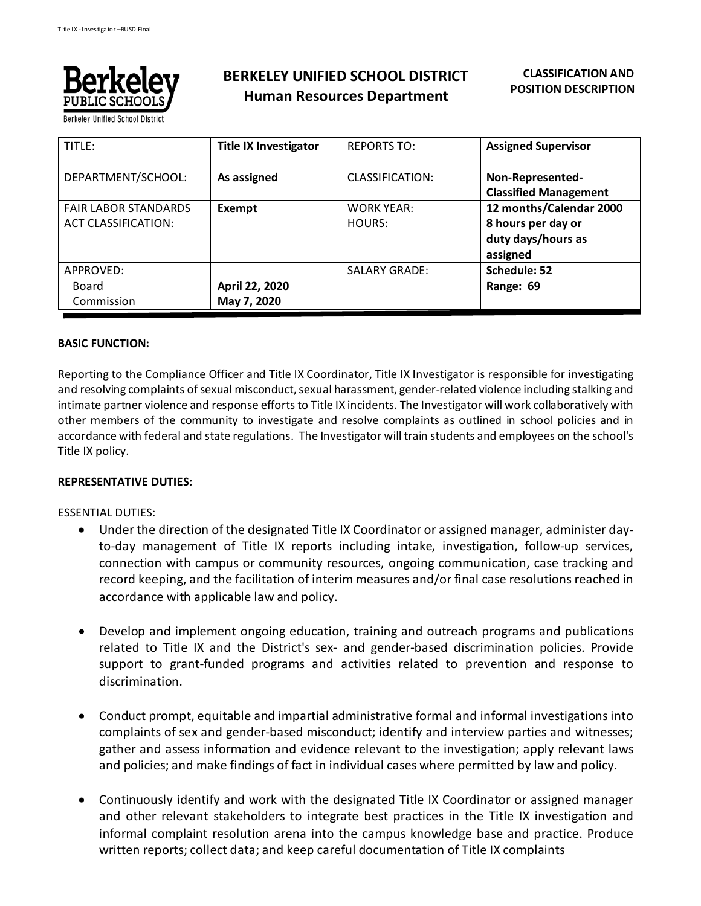

# **BERKELEY UNIFIED SCHOOL DISTRICT Human Resources Department**

# **CLASSIFICATION AND POSITION DESCRIPTION**

| TITLE:                      | <b>Title IX Investigator</b> | <b>REPORTS TO:</b>     | <b>Assigned Supervisor</b>   |
|-----------------------------|------------------------------|------------------------|------------------------------|
| DEPARTMENT/SCHOOL:          | As assigned                  | <b>CLASSIFICATION:</b> | Non-Represented-             |
|                             |                              |                        | <b>Classified Management</b> |
| <b>FAIR LABOR STANDARDS</b> | Exempt                       | <b>WORK YEAR:</b>      | 12 months/Calendar 2000      |
| <b>ACT CLASSIFICATION:</b>  |                              | HOURS:                 | 8 hours per day or           |
|                             |                              |                        | duty days/hours as           |
|                             |                              |                        | assigned                     |
| APPROVED:                   |                              | <b>SALARY GRADE:</b>   | Schedule: 52                 |
| Board                       | April 22, 2020               |                        | Range: 69                    |
| Commission                  | May 7, 2020                  |                        |                              |

## **BASIC FUNCTION:**

Reporting to the Compliance Officer and Title IX Coordinator, Title IX Investigator is responsible for investigating and resolving complaints of sexual misconduct, sexual harassment, gender-related violence including stalking and intimate partner violence and response efforts to Title IX incidents. The Investigator will work collaboratively with other members of the community to investigate and resolve complaints as outlined in school policies and in accordance with federal and state regulations. The Investigator will train students and employees on the school's Title IX policy.

### **REPRESENTATIVE DUTIES:**

### ESSENTIAL DUTIES:

- Under the direction of the designated Title IX Coordinator or assigned manager, administer dayto-day management of Title IX reports including intake, investigation, follow-up services, connection with campus or community resources, ongoing communication, case tracking and record keeping, and the facilitation of interim measures and/or final case resolutions reached in accordance with applicable law and policy.
- Develop and implement ongoing education, training and outreach programs and publications related to Title IX and the District's sex- and gender-based discrimination policies. Provide support to grant-funded programs and activities related to prevention and response to discrimination.
- Conduct prompt, equitable and impartial administrative formal and informal investigations into complaints of sex and gender-based misconduct; identify and interview parties and witnesses; gather and assess information and evidence relevant to the investigation; apply relevant laws and policies; and make findings of fact in individual cases where permitted by law and policy.
- Continuously identify and work with the designated Title IX Coordinator or assigned manager and other relevant stakeholders to integrate best practices in the Title IX investigation and informal complaint resolution arena into the campus knowledge base and practice. Produce written reports; collect data; and keep careful documentation of Title IX complaints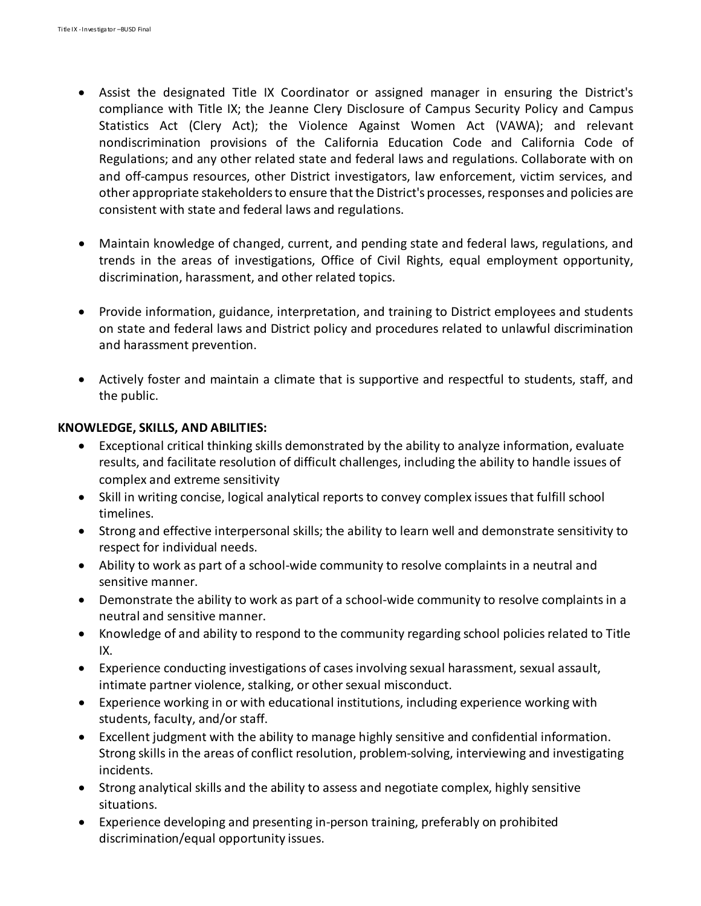- Assist the designated Title IX Coordinator or assigned manager in ensuring the District's compliance with Title IX; the Jeanne Clery Disclosure of Campus Security Policy and Campus Statistics Act (Clery Act); the Violence Against Women Act (VAWA); and relevant nondiscrimination provisions of the California Education Code and California Code of Regulations; and any other related state and federal laws and regulations. Collaborate with on and off-campus resources, other District investigators, law enforcement, victim services, and other appropriate stakeholders to ensure that the District's processes, responses and policies are consistent with state and federal laws and regulations.
- Maintain knowledge of changed, current, and pending state and federal laws, regulations, and trends in the areas of investigations, Office of Civil Rights, equal employment opportunity, discrimination, harassment, and other related topics.
- Provide information, guidance, interpretation, and training to District employees and students on state and federal laws and District policy and procedures related to unlawful discrimination and harassment prevention.
- Actively foster and maintain a climate that is supportive and respectful to students, staff, and the public.

# **KNOWLEDGE, SKILLS, AND ABILITIES:**

- Exceptional critical thinking skills demonstrated by the ability to analyze information, evaluate results, and facilitate resolution of difficult challenges, including the ability to handle issues of complex and extreme sensitivity
- Skill in writing concise, logical analytical reports to convey complex issues that fulfill school timelines.
- Strong and effective interpersonal skills; the ability to learn well and demonstrate sensitivity to respect for individual needs.
- Ability to work as part of a school-wide community to resolve complaints in a neutral and sensitive manner.
- Demonstrate the ability to work as part of a school-wide community to resolve complaints in a neutral and sensitive manner.
- Knowledge of and ability to respond to the community regarding school policies related to Title IX.
- Experience conducting investigations of cases involving sexual harassment, sexual assault, intimate partner violence, stalking, or other sexual misconduct.
- Experience working in or with educational institutions, including experience working with students, faculty, and/or staff.
- Excellent judgment with the ability to manage highly sensitive and confidential information. Strong skills in the areas of conflict resolution, problem-solving, interviewing and investigating incidents.
- Strong analytical skills and the ability to assess and negotiate complex, highly sensitive situations.
- Experience developing and presenting in-person training, preferably on prohibited discrimination/equal opportunity issues.